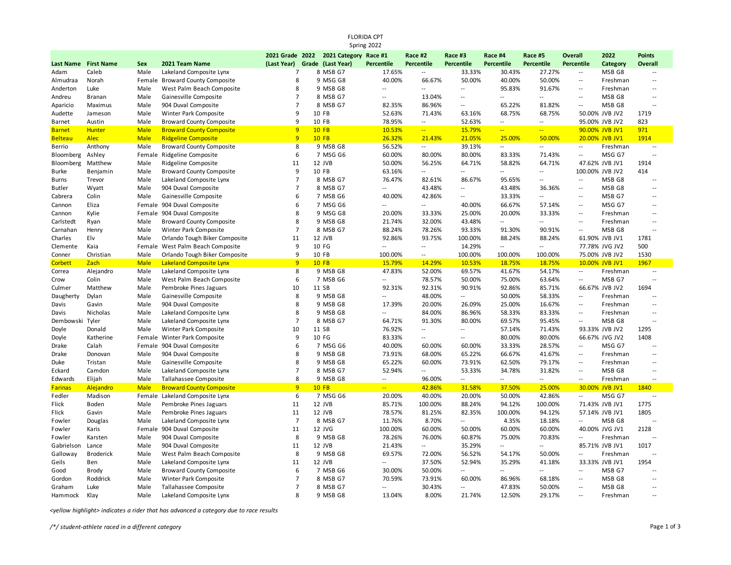|                | <b>FLORIDA CPT</b><br>Spring 2022 |             |                                  |                |  |                                       |                          |                          |                          |                          |                             |                          |                 |                          |
|----------------|-----------------------------------|-------------|----------------------------------|----------------|--|---------------------------------------|--------------------------|--------------------------|--------------------------|--------------------------|-----------------------------|--------------------------|-----------------|--------------------------|
|                |                                   |             |                                  |                |  | 2021 Grade 2022 2021 Category Race #1 |                          | Race #2                  | Race #3                  | Race #4                  | Race #5                     | <b>Overall</b>           | 2022            | <b>Points</b>            |
| Last Name      | <b>First Name</b>                 | <b>Sex</b>  | 2021 Team Name                   | (Last Year)    |  | Grade (Last Year)                     | <b>Percentile</b>        | <b>Percentile</b>        | <b>Percentile</b>        | <b>Percentile</b>        | <b>Percentile</b>           | <b>Percentile</b>        | Category        | Overall                  |
| Adam           | Caleb                             | Male        | Lakeland Composite Lynx          | $\overline{7}$ |  | 8 MSB G7                              | 17.65%                   | $\overline{a}$           | 33.33%                   | 30.43%                   | 27.27%                      | $\overline{\phantom{a}}$ | MSB G8          | $\overline{\phantom{a}}$ |
| Almudraa       | Norah                             |             | Female Broward County Composite  | 8              |  | 9 MSG G8                              | 40.00%                   | 66.67%                   | 50.00%                   | 40.00%                   | 50.00%                      | $\overline{\phantom{a}}$ | Freshman        | $\overline{a}$           |
| Anderton       | Luke                              | Male        | West Palm Beach Composite        | 8              |  | 9 MSB G8                              | $\overline{\phantom{a}}$ | Ξ.                       | $\overline{\phantom{a}}$ | 95.83%                   | 91.67%                      | $\overline{\phantom{a}}$ | Freshman        | $\overline{\phantom{a}}$ |
| Andreu         | <b>Branan</b>                     | Male        | Gainesville Composite            | $\overline{7}$ |  | 8 MSB G7                              | $\overline{a}$           | 13.04%                   | $\sim$ $\sim$            | $\overline{\phantom{a}}$ | $\overline{\phantom{a}}$    | $\overline{\phantom{a}}$ | MSB G8          | $\sim$                   |
| Aparicio       | Maximus                           | Male        | 904 Duval Composite              | $\overline{7}$ |  | 8 MSB G7                              | 82.35%                   | 86.96%                   | $\overline{a}$           | 65.22%                   | 81.82%                      | $\overline{\phantom{a}}$ | MSB G8          | $\sim$                   |
| Audette        | Jameson                           | Male        | Winter Park Composite            | 9              |  | 10 FB                                 | 52.63%                   | 71.43%                   | 63.16%                   | 68.75%                   | 68.75%                      |                          | 50.00% JVB JV2  | 1719                     |
| Barnet         | Austin                            | Male        | <b>Broward County Composite</b>  | 9              |  | 10 FB                                 | 78.95%                   | $\overline{a}$           | 52.63%                   | $\overline{a}$           | $\mathcal{L}_{\mathcal{A}}$ |                          | 95.00% JVB JV2  | 823                      |
| <b>Barnet</b>  | <b>Hunter</b>                     | <b>Male</b> | <b>Broward County Composite</b>  | 9              |  | <b>10 FB</b>                          | 10.53%                   | $\frac{1}{2}$ .          | 15.79%                   | $\rightarrow$            | $\frac{1}{2}$               |                          | 90.00% JVB JV1  | 971                      |
| <b>Belteau</b> | <b>Alec</b>                       | <b>Male</b> | <b>Ridgeline Composite</b>       | 9              |  | <b>10 FB</b>                          | 26.32%                   | 21.43%                   | 21.05%                   | 25.00%                   | 50.00%                      |                          | 20.00% JVB JV1  | 1914                     |
| Berrio         | Anthony                           | Male        | <b>Broward County Composite</b>  | 8              |  | 9 MSB G8                              | 56.52%                   | $\overline{a}$           | 39.13%                   | $\overline{\phantom{a}}$ | $\sim$                      | $\overline{\phantom{a}}$ | Freshman        | $\overline{\phantom{a}}$ |
| Bloomberg      | Ashley                            |             | Female Ridgeline Composite       | 6              |  | 7 MSG G6                              | 60.00%                   | 80.00%                   | 80.00%                   | 83.33%                   | 71.43%                      | $\overline{\phantom{a}}$ | MSG G7          | $\sim$                   |
| Bloomberg      | Matthew                           | Male        | Ridgeline Composite              | 11             |  | 12 JVB                                | 50.00%                   | 56.25%                   | 64.71%                   | 58.82%                   | 64.71%                      |                          | 47.62% JVB JV1  | 1914                     |
| Burke          | Benjamin                          | Male        | <b>Broward County Composite</b>  | 9              |  | 10 FB                                 | 63.16%                   | $\overline{a}$           | $\overline{a}$           | $\overline{\phantom{a}}$ | $\overline{\phantom{a}}$    |                          | 100.00% JVB JV2 | 414                      |
| Burns          | Trevor                            | Male        | Lakeland Composite Lynx          | $\overline{7}$ |  | 8 MSB G7                              | 76.47%                   | 82.61%                   | 86.67%                   | 95.65%                   | $\sim$ $\sim$               | $\overline{a}$           | MSB G8          | $\overline{\phantom{a}}$ |
| Butler         | Wyatt                             | Male        | 904 Duval Composite              | $\overline{7}$ |  | 8 MSB G7                              | $\overline{a}$           | 43.48%                   | $\overline{\phantom{a}}$ | 43.48%                   | 36.36%                      | $\overline{\phantom{a}}$ | MSB G8          | $\overline{\phantom{a}}$ |
| Cabrera        | Colin                             | Male        | Gainesville Composite            | 6              |  | 7 MSB G6                              | 40.00%                   | 42.86%                   | $\overline{a}$           | 33.33%                   | $\overline{\phantom{a}}$    | $\overline{\phantom{a}}$ | MSB G7          | $\sim$                   |
| Cannon         | Eliza                             |             | Female 904 Duval Composite       | 6              |  | 7 MSG G6                              | $\sim$                   | ш.                       | 40.00%                   | 66.67%                   | 57.14%                      | $\overline{\phantom{a}}$ | MSG G7          | $\overline{\phantom{a}}$ |
| Cannon         | Kylie                             |             | Female 904 Duval Composite       | 8              |  | 9 MSG G8                              | 20.00%                   | 33.33%                   | 25.00%                   | 20.00%                   | 33.33%                      | $\overline{\phantom{a}}$ | Freshman        | $\overline{\phantom{a}}$ |
| Carlstedt      | Ryan                              | Male        | <b>Broward County Composite</b>  | 8              |  | 9 MSB G8                              | 21.74%                   | 32.00%                   | 43.48%                   | $\overline{\phantom{a}}$ | $\sim$ $\sim$               | $\overline{a}$           | Freshman        | $\sim$                   |
| Carnahan       | Henry                             | Male        | Winter Park Composite            | $\overline{7}$ |  | 8 MSB G7                              | 88.24%                   | 78.26%                   | 93.33%                   | 91.30%                   | 90.91%                      | $\overline{\phantom{a}}$ | MSB G8          | $\sim$                   |
| Charles        | Elv                               | Male        | Orlando Tough Biker Composite    | 11             |  | 12 JVB                                | 92.86%                   | 93.75%                   | 100.00%                  | 88.24%                   | 88.24%                      |                          | 61.90% JVB JV1  | 1781                     |
| Clemente       | Kaia                              |             | Female West Palm Beach Composite | 9              |  | 10 FG                                 | $\overline{a}$           | $\sim$                   | 14.29%                   | $\sim$ $\sim$            | $\sim$ $\sim$               |                          | 77.78% JVG JV2  | 500                      |
| Conner         | Christian                         | Male        | Orlando Tough Biker Composite    | 9              |  | 10 FB                                 | 100.00%                  | $\sim$                   | 100.00%                  | 100.00%                  | 100.00%                     |                          | 75.00% JVB JV2  | 1530                     |
| <b>Corbett</b> | Zach                              | <b>Male</b> | <b>Lakeland Composite Lynx</b>   | $\mathbf{q}$   |  | <b>10 FB</b>                          | 15.79%                   | 14.29%                   | 10.53%                   | 18.75%                   | 18.75%                      |                          | 10.00% JVB JV1  | 1967                     |
| Correa         | Alejandro                         | Male        | Lakeland Composite Lynx          | 8              |  | 9 MSB G8                              | 47.83%                   | 52.00%                   | 69.57%                   | 41.67%                   | 54.17%                      | $\overline{\phantom{a}}$ | Freshman        | $\sim$                   |
| Crow           | Colin                             | Male        | West Palm Beach Composite        | 6              |  | 7 MSB G6                              | $\overline{\phantom{a}}$ | 78.57%                   | 50.00%                   | 75.00%                   | 63.64%                      | $\sim$                   | MSB G7          | $\sim$                   |
| Culmer         | Matthew                           | Male        | Pembroke Pines Jaguars           | 10             |  | 11 SB                                 | 92.31%                   | 92.31%                   | 90.91%                   | 92.86%                   | 85.71%                      |                          | 66.67% JVB JV2  | 1694                     |
| Daugherty      | Dylan                             | Male        | Gainesville Composite            | 8              |  | 9 MSB G8                              | $\overline{a}$           | 48.00%                   | $\overline{a}$           | 50.00%                   | 58.33%                      | $\overline{\phantom{a}}$ | Freshman        |                          |
| Davis          | Gavin                             | Male        | 904 Duval Composite              | 8              |  | 9 MSB G8                              | 17.39%                   | 20.00%                   | 26.09%                   | 25.00%                   | 16.67%                      | $\overline{\phantom{a}}$ | Freshman        | $\overline{\phantom{a}}$ |
| Davis          | Nicholas                          | Male        | Lakeland Composite Lynx          | 8              |  | 9 MSB G8                              | $\overline{a}$           | 84.00%                   | 86.96%                   | 58.33%                   | 83.33%                      | $\sim$                   | Freshman        | $\overline{\phantom{a}}$ |
| Dembowski      | Tyler                             | Male        | Lakeland Composite Lynx          | $\overline{7}$ |  | 8 MSB G7                              | 64.71%                   | 91.30%                   | 80.00%                   | 69.57%                   | 95.45%                      | $\overline{\phantom{a}}$ | MSB G8          | $\sim$                   |
| Doyle          | Donald                            | Male        | Winter Park Composite            | 10             |  | 11 SB                                 | 76.92%                   | $\overline{\phantom{a}}$ | $\sim$ $\sim$            | 57.14%                   | 71.43%                      |                          | 93.33% JVB JV2  | 1295                     |
| Doyle          | Katherine                         | Female      | Winter Park Composite            | 9              |  | 10 FG                                 | 83.33%                   | Ξ.                       | μ.                       | 80.00%                   | 80.00%                      |                          | 66.67% JVG JV2  | 1408                     |
| Drake          | Calah                             |             | Female 904 Duval Composite       | 6              |  | 7 MSG G6                              | 40.00%                   | 60.00%                   | 60.00%                   | 33.33%                   | 28.57%                      | $\overline{\phantom{a}}$ | MSG G7          |                          |
| Drake          | Donovan                           | Male        | 904 Duval Composite              | 8              |  | 9 MSB G8                              | 73.91%                   | 68.00%                   | 65.22%                   | 66.67%                   | 41.67%                      | $\overline{\phantom{a}}$ | Freshman        | $\overline{\phantom{a}}$ |
| Duke           | Tristan                           | Male        | Gainesville Composite            | 8              |  | 9 MSB G8                              | 65.22%                   | 60.00%                   | 73.91%                   | 62.50%                   | 79.17%                      | $\sim$                   | Freshman        | μ.                       |
| Eckard         | Camdon                            | Male        | Lakeland Composite Lynx          | $\overline{7}$ |  | 8 MSB G7                              | 52.94%                   | $\overline{a}$           | 53.33%                   | 34.78%                   | 31.82%                      | $\overline{\phantom{a}}$ | MSB G8          | $\sim$                   |
| Edwards        | Elijah                            | Male        | Tallahassee Composite            | 8              |  | 9 MSB G8                              | $\overline{\phantom{a}}$ | 96.00%                   | $\overline{\phantom{a}}$ | $\sim$ $\sim$            | $\sim$                      | $\overline{\phantom{a}}$ | Freshman        | $\sim$                   |
| <b>Farinas</b> | Alejandro                         | <b>Male</b> | <b>Broward County Composite</b>  | 9              |  | <b>10 FB</b>                          | $\overline{a}$           | 42.86%                   | 31.58%                   | 37.50%                   | 25.00%                      |                          | 30.00% JVB JV1  | 1840                     |
| Fedler         | Madison                           | Female      | Lakeland Composite Lynx          | 6              |  | 7 MSG G6                              | 20.00%                   | 40.00%                   | 20.00%                   | 50.00%                   | 42.86%                      | $\sim$                   | MSG G7          | $\sim$                   |
| Flick          | Boden                             | Male        | Pembroke Pines Jaguars           | 11             |  | 12 JVB                                | 85.71%                   | 100.00%                  | 88.24%                   | 94.12%                   | 100.00%                     |                          | 71.43% JVB JV1  | 1775                     |
| Flick          | Gavin                             | Male        | Pembroke Pines Jaguars           | 11             |  | 12 JVB                                | 78.57%                   | 81.25%                   | 82.35%                   | 100.00%                  | 94.12%                      |                          | 57.14% JVB JV1  | 1805                     |
| Fowler         | Douglas                           | Male        | Lakeland Composite Lynx          | $\overline{7}$ |  | 8 MSB G7                              | 11.76%                   | 8.70%                    | $\overline{a}$           | 4.35%                    | 18.18%                      | $\overline{a}$           | MSB G8          | $\sim$                   |
| Fowler         | Karis                             |             | Female 904 Duval Composite       | 11             |  | 12 JVG                                | 100.00%                  | 60.00%                   | 50.00%                   | 60.00%                   | 60.00%                      |                          | 40.00% JVG JV1  | 2128                     |
| Fowler         | Karsten                           | Male        | 904 Duval Composite              | 8              |  | 9 MSB G8                              | 78.26%                   | 76.00%                   | 60.87%                   | 75.00%                   | 70.83%                      | $\overline{\phantom{a}}$ | Freshman        | $\overline{\phantom{a}}$ |
| Gabrielson     | Lance                             | Male        | 904 Duval Composite              | 11             |  | 12 JVB                                | 21.43%                   | $\overline{a}$           | 35.29%                   | $\overline{a}$           | $\sim$ $\sim$               |                          | 85.71% JVB JV1  | 1017                     |
| Galloway       | <b>Broderick</b>                  | Male        | West Palm Beach Composite        | 8              |  | 9 MSB G8                              | 69.57%                   | 72.00%                   | 56.52%                   | 54.17%                   | 50.00%                      | $\overline{a}$           | Freshman        | $\sim$                   |
| Geils          | Ben                               | Male        | Lakeland Composite Lynx          | 11             |  | 12 JVB                                | $\overline{\phantom{a}}$ | 37.50%                   | 52.94%                   | 35.29%                   | 41.18%                      |                          | 33.33% JVB JV1  | 1954                     |
| Good           | <b>Brody</b>                      | Male        | <b>Broward County Composite</b>  | 6              |  | 7 MSB G6                              | 30.00%                   | 50.00%                   | $\overline{a}$           | $\overline{a}$           | $\sim$ $\sim$               | $\sim$                   | MSB G7          |                          |
| Gordon         | Roddrick                          | Male        | Winter Park Composite            | $\overline{7}$ |  | 8 MSB G7                              | 70.59%                   | 73.91%                   | 60.00%                   | 86.96%                   | 68.18%                      | $\overline{\phantom{a}}$ | MSB G8          | $\sim$                   |
| Graham         | Luke                              | Male        | Tallahassee Composite            | $\overline{7}$ |  | 8 MSB G7                              | $\overline{\phantom{a}}$ | 30.43%                   | ۰.                       | 47.83%                   | 50.00%                      | $\overline{\phantom{a}}$ | MSB G8          | $\overline{\phantom{a}}$ |
| Hammock        | Klay                              | Male        | Lakeland Composite Lynx          | 8              |  | 9 MSB G8                              | 13.04%                   | 8.00%                    | 21.74%                   | 12.50%                   | 29.17%                      | $\overline{a}$           | Freshman        | $\sim$                   |

*<yellow highlight> indicates a rider that has advanced a category due to race results*

*/\*/ student-athlete raced in a different category* Page 1 of 3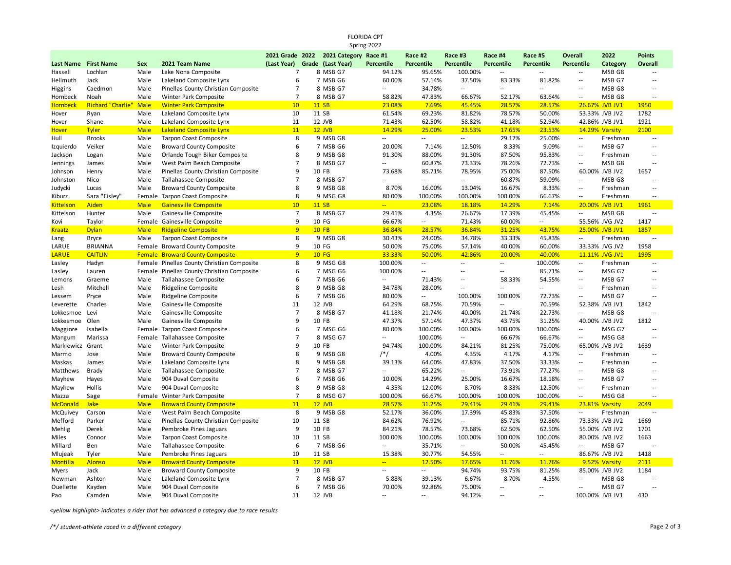|                            | <b>FLORIDA CPT</b><br>Spring 2022 |              |                                                                           |                               |  |                                                            |                                    |                              |                                            |                              |                              |                                            |                                  |                          |
|----------------------------|-----------------------------------|--------------|---------------------------------------------------------------------------|-------------------------------|--|------------------------------------------------------------|------------------------------------|------------------------------|--------------------------------------------|------------------------------|------------------------------|--------------------------------------------|----------------------------------|--------------------------|
| Last Name                  | <b>First Name</b>                 | <b>Sex</b>   | 2021 Team Name                                                            |                               |  | 2021 Grade 2022 2021 Category Race #1<br>Grade (Last Year) | <b>Percentile</b>                  | Race #2<br><b>Percentile</b> | Race #3<br><b>Percentile</b>               | Race #4<br><b>Percentile</b> | Race #5<br><b>Percentile</b> | <b>Overall</b><br>Percentile               | 2022                             | <b>Points</b><br>Overall |
| Hassell                    | Lochlan                           | Male         | Lake Nona Composite                                                       | (Last Year)<br>$\overline{7}$ |  | 8 MSB G7                                                   | 94.12%                             | 95.65%                       | 100.00%                                    | $\overline{\phantom{a}}$     | $\ddotsc$                    | $\overline{\phantom{a}}$                   | Category<br>MSB G8               | $\sim$                   |
| Hellmuth                   | Jack                              | Male         | Lakeland Composite Lynx                                                   | 6                             |  | 7 MSB G6                                                   | 60.00%                             | 57.14%                       | 37.50%                                     | 83.33%                       | 81.82%                       | н,                                         | MSB G7                           | $\sim$                   |
|                            | Caedmon                           | Male         | Pinellas County Christian Composite                                       | $\overline{7}$                |  | 8 MSB G7                                                   | $\overline{\phantom{a}}$           | 34.78%                       | $\overline{\phantom{a}}$                   | $\overline{\phantom{a}}$     | $\mathcal{L}_{\mathcal{A}}$  | $\overline{\phantom{a}}$                   | MSB G8                           | $\overline{\phantom{a}}$ |
| Higgins<br>Hornbeck        | Noah                              | Male         | Winter Park Composite                                                     | 7                             |  | 8 MSB G7                                                   | 58.82%                             | 47.83%                       | 66.67%                                     | 52.17%                       | 63.64%                       | $\overline{a}$                             | MSB G8                           |                          |
| <b>Hornbeck</b>            | Richard "Charlie"                 | <b>Male</b>  | <b>Winter Park Composite</b>                                              | 10                            |  | 11 SB                                                      | 23.08%                             | 7.69%                        | 45.45%                                     | 28.57%                       | 28.57%                       |                                            | 26.67% JVB JV1                   | 1950                     |
| Hover                      | Ryan                              | Male         | Lakeland Composite Lynx                                                   | 10                            |  | 11 SB                                                      | 61.54%                             | 69.23%                       | 81.82%                                     | 78.57%                       | 50.00%                       |                                            | 53.33% JVB JV2                   | 1782                     |
| Hover                      | Shane                             | Male         | Lakeland Composite Lynx                                                   | 11                            |  | 12 JVB                                                     | 71.43%                             | 62.50%                       | 58.82%                                     | 41.18%                       | 52.94%                       |                                            | 42.86% JVB JV1                   | 1921                     |
| <b>Hover</b>               | <b>Tyler</b>                      | <b>Male</b>  | <b>Lakeland Composite Lynx</b>                                            | 11                            |  | $12$ JVB                                                   | 14.29%                             | 25.00%                       | 23.53%                                     | 17.65%                       | 23.53%                       |                                            | 14.29% Varsity                   | 2100                     |
| Hull                       | <b>Brooks</b>                     | Male         | Tarpon Coast Composite                                                    | 8                             |  | 9 MSB G8                                                   | $\overline{\phantom{a}}$           | $\sim$ $\sim$                | $\sim$                                     | 29.17%                       | 25.00%                       | $\sim$                                     | Freshman                         | $\sim$                   |
| Izquierdo                  | Veiker                            | Male         | <b>Broward County Composite</b>                                           | 6                             |  | 7 MSB G6                                                   | 20.00%                             | 7.14%                        | 12.50%                                     | 8.33%                        | 9.09%                        | $\overline{a}$                             | MSB G7                           | $\sim$                   |
| Jackson                    | Logan                             | Male         | Orlando Tough Biker Composite                                             | 8                             |  | 9 MSB G8                                                   | 91.30%                             | 88.00%                       | 91.30%                                     | 87.50%                       | 95.83%                       | $\overline{\phantom{a}}$                   | Freshman                         | $\sim$                   |
| Jennings                   | James                             | Male         | West Palm Beach Composite                                                 | $\overline{7}$                |  | 8 MSB G7                                                   | $\overline{\phantom{a}}$           | 60.87%                       | 73.33%                                     | 78.26%                       | 72.73%                       | $\overline{\phantom{a}}$                   | MSB G8                           |                          |
| Johnson                    | Henry                             | Male         | Pinellas County Christian Composite                                       | 9                             |  | 10 FB                                                      | 73.68%                             | 85.71%                       | 78.95%                                     | 75.00%                       | 87.50%                       |                                            | 60.00% JVB JV2                   | 1657                     |
| Johnston                   | Nico                              | Male         | Tallahassee Composite                                                     | $\overline{7}$                |  | 8 MSB G7                                                   | $\ddotsc$                          | $\overline{a}$               | $\overline{\phantom{a}}$                   | 60.87%                       | 59.09%                       | $\overline{\phantom{a}}$                   | MSB <sub>G8</sub>                |                          |
| Judycki                    |                                   | Male         | <b>Broward County Composite</b>                                           | 8                             |  | 9 MSB G8                                                   | 8.70%                              | 16.00%                       | 13.04%                                     | 16.67%                       | 8.33%                        | $\overline{\phantom{a}}$                   | Freshman                         | $\overline{\phantom{a}}$ |
|                            | Lucas                             |              | Female Tarpon Coast Composite                                             | 8                             |  | 9 MSG G8                                                   | 80.00%                             | 100.00%                      | 100.00%                                    | 100.00%                      | 66.67%                       | $\overline{a}$                             | Freshman                         |                          |
| Kiburz<br><b>Kittelson</b> | Sara "Eisley"<br>Aiden            | <b>Male</b>  | <b>Gainesville Composite</b>                                              | 10                            |  | 11 SB                                                      | $\mathbb{Z}^{\mathbb{Z}^{\times}}$ | 23.08%                       | 18.18%                                     | 14.29%                       | 7.14%                        |                                            | 20.00% JVB JV1                   | 1961                     |
| Kittelson                  | Hunter                            | Male         |                                                                           | $\overline{7}$                |  | 8 MSB G7                                                   | 29.41%                             | 4.35%                        | 26.67%                                     | 17.39%                       | 45.45%                       | $\sim$                                     | MSB G8                           | $\sim$                   |
|                            |                                   |              | Gainesville Composite                                                     | 9                             |  |                                                            |                                    | $\sim$                       |                                            |                              | $\sim$                       |                                            |                                  |                          |
| Kovi                       | Taylor                            |              | Female Gainesville Composite                                              | 9                             |  | 10 FG                                                      | 66.67%                             |                              | 71.43%                                     | 60.00%                       |                              |                                            | 55.56% JVG JV2                   | 1417                     |
| <b>Kraatz</b>              | <b>Dylan</b>                      | <b>Male</b>  | <b>Ridgeline Composite</b>                                                |                               |  | <b>10 FB</b>                                               | 36.84%                             | 28.57%                       | 36.84%                                     | 31.25%                       | 43.75%                       | $\overline{\phantom{a}}$                   | 25.00% JVB JV1                   | 1857                     |
| Lang                       | <b>Bryce</b>                      | Male         | <b>Tarpon Coast Composite</b>                                             | 8<br>9                        |  | 9 MSB G8                                                   | 30.43%                             | 24.00%                       | 34.78%                                     | 33.33%                       | 45.83%                       |                                            | Freshman                         |                          |
| LARUE                      | <b>BRIANNA</b>                    |              | Female Broward County Composite<br><b>Female Broward County Composite</b> | 9                             |  | 10 FG<br><b>10 FG</b>                                      | 50.00%<br>33.33%                   | 75.00%<br>50.00%             | 57.14%<br>42.86%                           | 40.00%                       | 60.00%<br>40.00%             |                                            | 33.33% JVG JV2<br>11.11% JVG JV1 | 1958<br>1995             |
| <b>LARUE</b>               | <b>CAITLIN</b>                    |              | Female Pinellas County Christian Composite                                | 8                             |  | 9 MSG G8                                                   | 100.00%                            | $\sim$                       | $\sim$                                     | 20.00%<br>$\sim$             | 100.00%                      | $\sim$                                     | Freshman                         | $\overline{\phantom{a}}$ |
| Lasley                     | Hadyn                             |              |                                                                           |                               |  |                                                            |                                    | $\sim$ $\sim$                | $\overline{a}$                             | $\overline{a}$               |                              | $\overline{a}$                             |                                  | $\sim$                   |
| Lasley                     | Lauren                            |              | Female Pinellas County Christian Composite                                | 6<br>6                        |  | 7 MSG G6                                                   | 100.00%<br>$\sim$                  |                              |                                            |                              | 85.71%                       |                                            | MSG G7                           | $\sim$                   |
| Lemons                     | Graeme<br>Mitchell                | Male<br>Male | Tallahassee Composite                                                     | 8                             |  | 7 MSB G6<br>9 MSB G8                                       |                                    | 71.43%<br>28.00%             | $\overline{\phantom{a}}$<br>$\overline{a}$ | 58.33%<br>$\sim$ $\sim$      | 54.55%<br>$\sim$             | $\overline{\phantom{a}}$<br>$\overline{a}$ | MSB G7<br>Freshman               | $\sim$                   |
| Lesh                       |                                   |              | Ridgeline Composite                                                       |                               |  |                                                            | 34.78%                             | $\sim$                       |                                            |                              |                              | $\overline{a}$                             |                                  | $\sim$                   |
| Lessem                     | Pryce                             | Male         | Ridgeline Composite                                                       | 6<br>11                       |  | 7 MSB G6                                                   | 80.00%<br>64.29%                   |                              | 100.00%                                    | 100.00%<br>$\sim$            | 72.73%                       |                                            | MSB G7                           |                          |
| Leverette                  | Charles                           | Male         | Gainesville Composite                                                     | $\overline{7}$                |  | 12 JVB                                                     |                                    | 68.75%                       | 70.59%                                     |                              | 70.59%                       | $\overline{a}$                             | 52.38% JVB JV1                   | 1842                     |
| Lokkesmoe                  | Levi                              | Male         | Gainesville Composite                                                     | 9                             |  | 8 MSB G7                                                   | 41.18%                             | 21.74%                       | 40.00%                                     | 21.74%                       | 22.73%                       |                                            | MSB G8                           |                          |
| Lokkesmoe                  | Olen                              | Male         | Gainesville Composite                                                     | 6                             |  | 10 FB                                                      | 47.37%                             | 57.14%                       | 47.37%                                     | 43.75%                       | 31.25%                       | $\overline{\phantom{a}}$                   | 40.00% JVB JV2                   | 1812<br>$\sim$           |
| Maggiore                   | Isabella                          | Female       | <b>Tarpon Coast Composite</b>                                             | $\overline{7}$                |  | 7 MSG G6                                                   | 80.00%<br>$\overline{a}$           | 100.00%                      | 100.00%<br>$\overline{a}$                  | 100.00%                      | 100.00%                      | $\overline{a}$                             | MSG G7                           | $\sim$                   |
| Mangum                     | Marissa                           |              | Female Tallahassee Composite                                              | 9                             |  | 8 MSG G7                                                   |                                    | 100.00%                      |                                            | 66.67%                       | 66.67%                       |                                            | MSG G8                           |                          |
| Markiewicz                 | Grant                             | Male         | Winter Park Composite                                                     |                               |  | 10 FB                                                      | 94.74%                             | 100.00%                      | 84.21%                                     | 81.25%                       | 75.00%                       |                                            | 65.00% JVB JV2                   | 1639                     |
| Marmo                      | Jose                              | Male         | <b>Broward County Composite</b>                                           | 8                             |  | 9 MSB G8                                                   | $/*/$                              | 4.00%                        | 4.35%                                      | 4.17%                        | 4.17%                        | $\overline{\phantom{a}}$                   | Freshman                         | $\sim$<br>$\sim$         |
| Maskas                     | James                             | Male         | Lakeland Composite Lynx                                                   | 8<br>$\overline{7}$           |  | 9 MSB G8                                                   | 39.13%<br>$\sim$                   | 64.00%                       | 47.83%<br>$\overline{a}$                   | 37.50%                       | 33.33%                       | <br>$\overline{a}$                         | Freshman                         | $\sim$                   |
| Matthews                   | Brady                             | Male         | Tallahassee Composite                                                     | 6                             |  | 8 MSB G7                                                   |                                    | 65.22%                       |                                            | 73.91%                       | 77.27%                       |                                            | MSB G8                           | $\sim$                   |
| Mayhew                     | Hayes                             | Male         | 904 Duval Composite                                                       |                               |  | 7 MSB G6                                                   | 10.00%                             | 14.29%                       | 25.00%                                     | 16.67%                       | 18.18%                       | $\overline{\phantom{a}}$                   | MSB G7                           | $\sim$                   |
| Mayhew                     | Hollis                            | Male         | 904 Duval Composite                                                       | 8                             |  | 9 MSB G8                                                   | 4.35%                              | 12.00%                       | 8.70%                                      | 8.33%                        | 12.50%                       | $\overline{a}$                             | Freshman                         |                          |
| Mazza                      | Sage                              |              | Female Winter Park Composite                                              | 7                             |  | 8 MSG G7                                                   | 100.00%                            | 66.67%                       | 100.00%                                    | 100.00%                      | 100.00%                      | $\overline{\phantom{a}}$                   | MSG G8                           |                          |
| <b>McDonald</b>            | <b>Jake</b>                       | <b>Male</b>  | <b>Broward County Composite</b>                                           | 11                            |  | <b>12 JVB</b>                                              | 28.57%                             | 31.25%                       | 29.41%                                     | 29.41%                       | 29.41%                       |                                            | 23.81% Varsity                   | 2049<br>$\sim$ $\sim$    |
| <b>McQuivey</b>            | Carson                            | Male         | West Palm Beach Composite                                                 | 8                             |  | 9 MSB G8                                                   | 52.17%                             | 36.00%                       | 17.39%                                     | 45.83%                       | 37.50%                       | $\overline{a}$                             | Freshman                         |                          |
| Mefford                    | Parker                            | Male         | Pinellas County Christian Composite                                       | 10<br>9                       |  | 11 SB                                                      | 84.62%                             | 76.92%                       | $\overline{\phantom{a}}$                   | 85.71%                       | 92.86%                       |                                            | 73.33% JVB JV2                   | 1669                     |
| Mehlig                     | Derek                             | Male         | Pembroke Pines Jaguars                                                    |                               |  | 10 FB                                                      | 84.21%                             | 78.57%                       | 73.68%                                     | 62.50%                       | 62.50%                       |                                            | 55.00% JVB JV2                   | 1701                     |
| Miles                      | Connor                            | Male         | <b>Tarpon Coast Composite</b>                                             | 10                            |  | 11 SB                                                      | 100.00%                            | 100.00%                      | 100.00%                                    | 100.00%                      | 100.00%                      |                                            | 80.00% JVB JV2                   | 1663                     |
| Millard                    | Ben                               | Male         | Tallahassee Composite                                                     | 6                             |  | 7 MSB G6                                                   | $\overline{\phantom{a}}$           | 35.71%                       | $\sim$                                     | 50.00%                       | 45.45%                       | $\sim$ $\sim$                              | MSB G7                           | $\sim$                   |
| Mlujeak                    | Tyler                             | Male         | Pembroke Pines Jaguars                                                    | 10                            |  | 11 SB                                                      | 15.38%                             | 30.77%                       | 54.55%                                     | $\sim$                       | $\sim$                       |                                            | 86.67% JVB JV2                   | 1418                     |
| <u>Montilla</u>            | <b>Alonso</b>                     | <b>Male</b>  | <b>Broward County Composite</b>                                           | 11                            |  | <b>12 JVB</b>                                              | $\mathcal{L}_{\mathcal{F}}$        | 12.50%                       | 17.65%                                     | 11.76%                       | 11.76%                       |                                            | 9.52% Varsity                    | 2111                     |
| Myers                      | Jack                              | Male         | <b>Broward County Composite</b>                                           | 9                             |  | 10 FB                                                      | $\sim$ $\sim$                      | $\sim$                       | 94.74%                                     | 93.75%                       | 81.25%                       |                                            | 85.00% JVB JV2                   | 1184                     |
| Newman                     | Ashton                            | Male         | Lakeland Composite Lynx                                                   | $\overline{7}$                |  | 8 MSB G7                                                   | 5.88%                              | 39.13%                       | 6.67%                                      | 8.70%                        | 4.55%                        | $\overline{a}$                             | MSB G8                           |                          |
| Ouellette                  | Kayden                            | Male         | 904 Duval Composite                                                       | 6                             |  | 7 MSB G6                                                   | 70.00%                             | 92.86%                       | 75.00%                                     | $\overline{a}$               | $\sim$                       |                                            | MSB G7                           |                          |
| Pao                        | Camden                            | Male         | 904 Duval Composite                                                       | 11                            |  | 12 JVB                                                     | $\overline{a}$                     | $\sim$ $-$                   | 94.12%                                     | $\sim$ $\sim$                | $\sim$ $\sim$                | 100.00% JVB JV1                            |                                  | 430                      |

*<yellow highlight> indicates a rider that has advanced a category due to race results*